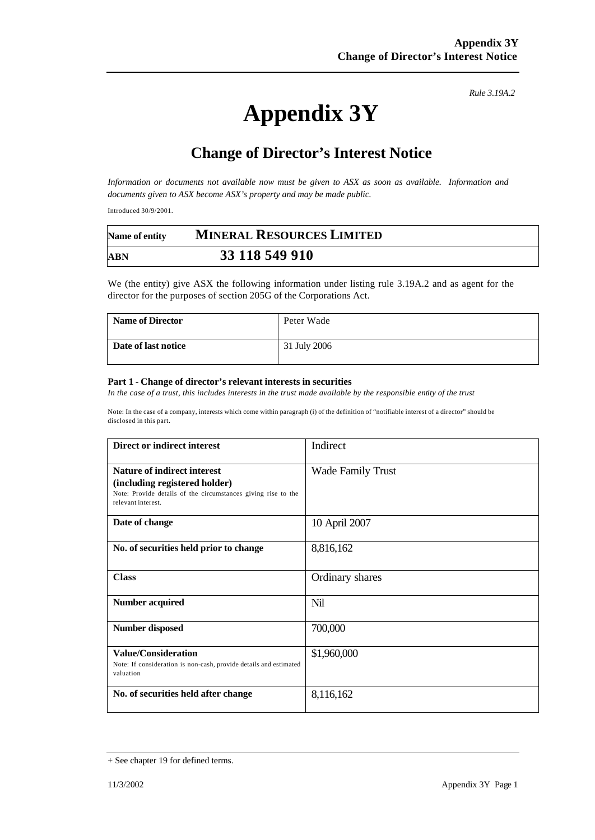## **Appendix 3Y**

## **Change of Director's Interest Notice**

*Information or documents not available now must be given to ASX as soon as available. Information and documents given to ASX become ASX's property and may be made public.*

Introduced 30/9/2001.

| Name of entity | <b>MINERAL RESOURCES LIMITED</b> |  |
|----------------|----------------------------------|--|
| ABN            | 33 118 549 910                   |  |

We (the entity) give ASX the following information under listing rule 3.19A.2 and as agent for the director for the purposes of section 205G of the Corporations Act.

| <b>Name of Director</b> | Peter Wade   |
|-------------------------|--------------|
| Date of last notice     | 31 July 2006 |

## **Part 1 - Change of director's relevant interests in securities**

*In the case of a trust, this includes interests in the trust made available by the responsible entity of the trust*

Note: In the case of a company, interests which come within paragraph (i) of the definition of "notifiable interest of a director" should be disclosed in this part.

| Direct or indirect interest                                                                                                                                | Indirect                 |
|------------------------------------------------------------------------------------------------------------------------------------------------------------|--------------------------|
| <b>Nature of indirect interest</b><br>(including registered holder)<br>Note: Provide details of the circumstances giving rise to the<br>relevant interest. | <b>Wade Family Trust</b> |
| Date of change                                                                                                                                             | 10 April 2007            |
| No. of securities held prior to change                                                                                                                     | 8,816,162                |
| <b>Class</b>                                                                                                                                               | Ordinary shares          |
| <b>Number acquired</b>                                                                                                                                     | Nil                      |
| <b>Number disposed</b>                                                                                                                                     | 700,000                  |
| <b>Value/Consideration</b><br>Note: If consideration is non-cash, provide details and estimated<br>valuation                                               | \$1,960,000              |
| No. of securities held after change                                                                                                                        | 8,116,162                |

*Rule 3.19A.2*

<sup>+</sup> See chapter 19 for defined terms.